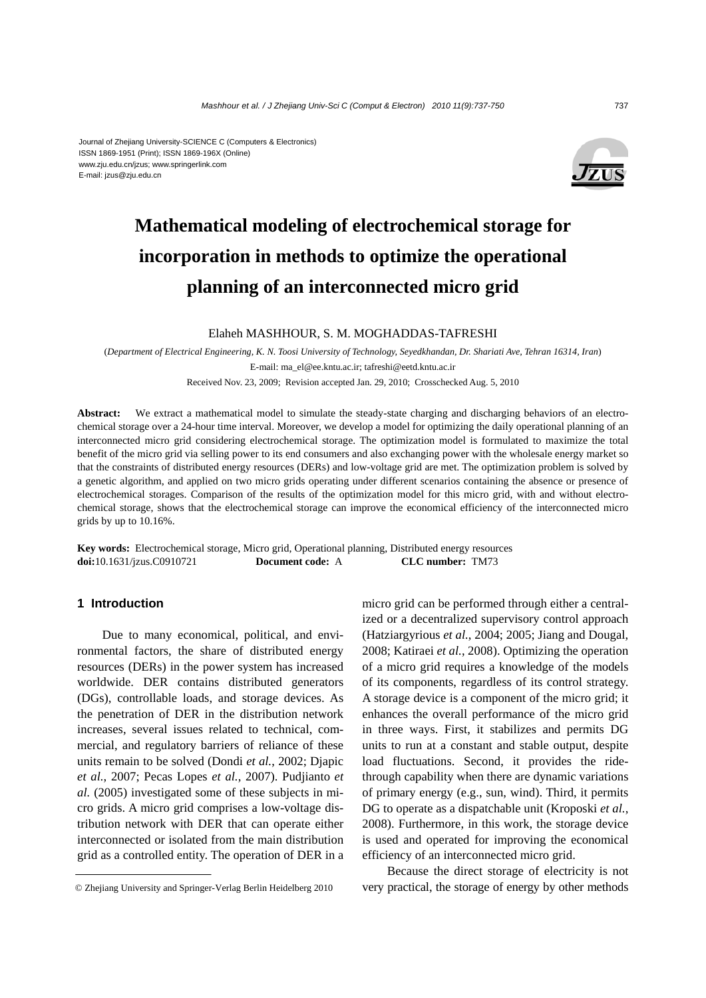#### Journal of Zhejiang University-SCIENCE C (Computers & Electronics) ISSN 1869-1951 (Print); ISSN 1869-196X (Online) www.zju.edu.cn/jzus; www.springerlink.com E-mail: jzus@zju.edu.cn



# **Mathematical modeling of electrochemical storage for incorporation in methods to optimize the operational planning of an interconnected micro grid**

Elaheh MASHHOUR, S. M. MOGHADDAS-TAFRESHI

(*Department of Electrical Engineering, K. N. Toosi University of Technology, Seyedkhandan, Dr. Shariati Ave, Tehran 16314, Iran*) E-mail: ma\_el@ee.kntu.ac.ir; tafreshi@eetd.kntu.ac.ir

Received Nov. 23, 2009; Revision accepted Jan. 29, 2010; Crosschecked Aug. 5, 2010

**Abstract:** We extract a mathematical model to simulate the steady-state charging and discharging behaviors of an electrochemical storage over a 24-hour time interval. Moreover, we develop a model for optimizing the daily operational planning of an interconnected micro grid considering electrochemical storage. The optimization model is formulated to maximize the total benefit of the micro grid via selling power to its end consumers and also exchanging power with the wholesale energy market so that the constraints of distributed energy resources (DERs) and low-voltage grid are met. The optimization problem is solved by a genetic algorithm, and applied on two micro grids operating under different scenarios containing the absence or presence of electrochemical storages. Comparison of the results of the optimization model for this micro grid, with and without electrochemical storage, shows that the electrochemical storage can improve the economical efficiency of the interconnected micro grids by up to 10.16%.

**Key words:** Electrochemical storage, Micro grid, Operational planning, Distributed energy resources **doi:**10.1631/jzus.C0910721 **Document code:** A **CLC number:** TM73

# **1 Introduction**

Due to many economical, political, and environmental factors, the share of distributed energy resources (DERs) in the power system has increased worldwide. DER contains distributed generators (DGs), controllable loads, and storage devices. As the penetration of DER in the distribution network increases, several issues related to technical, commercial, and regulatory barriers of reliance of these units remain to be solved (Dondi *et al.*, 2002; Djapic *et al.*, 2007; Pecas Lopes *et al.*, 2007). Pudjianto *et al.* (2005) investigated some of these subjects in micro grids. A micro grid comprises a low-voltage distribution network with DER that can operate either interconnected or isolated from the main distribution grid as a controlled entity. The operation of DER in a micro grid can be performed through either a centralized or a decentralized supervisory control approach (Hatziargyrious *et al.*, 2004; 2005; Jiang and Dougal, 2008; Katiraei *et al.*, 2008). Optimizing the operation of a micro grid requires a knowledge of the models of its components, regardless of its control strategy. A storage device is a component of the micro grid; it enhances the overall performance of the micro grid in three ways. First, it stabilizes and permits DG units to run at a constant and stable output, despite load fluctuations. Second, it provides the ridethrough capability when there are dynamic variations of primary energy (e.g., sun, wind). Third, it permits DG to operate as a dispatchable unit (Kroposki *et al.*, 2008). Furthermore, in this work, the storage device is used and operated for improving the economical efficiency of an interconnected micro grid.

Because the direct storage of electricity is not very practical, the storage of energy by other methods

<sup>©</sup> Zhejiang University and Springer-Verlag Berlin Heidelberg 2010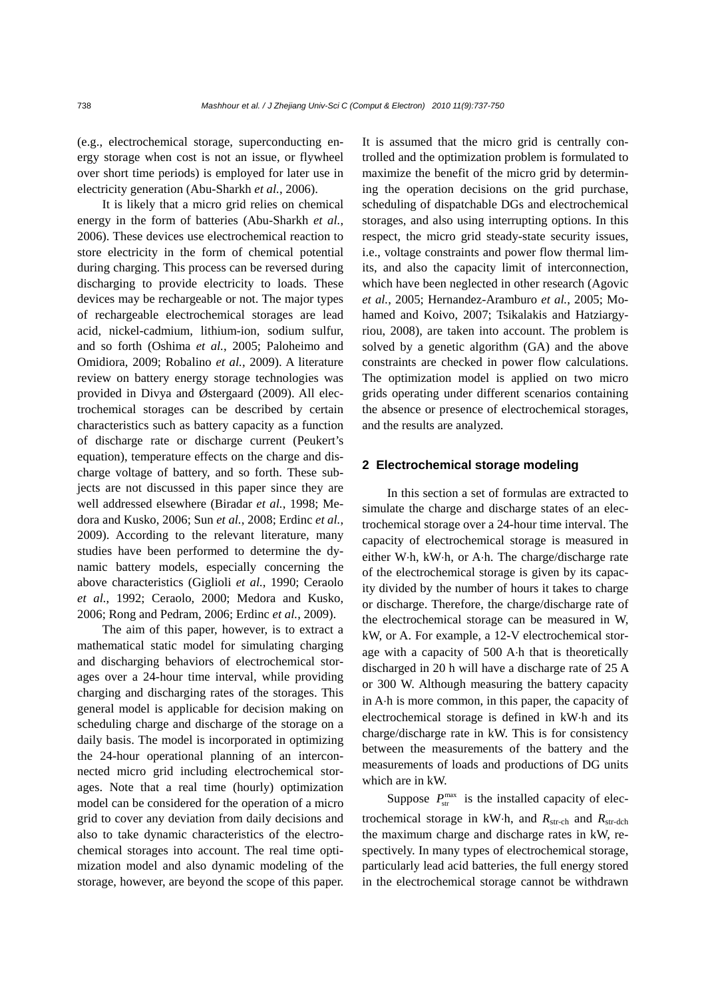(e.g., electrochemical storage, superconducting energy storage when cost is not an issue, or flywheel over short time periods) is employed for later use in electricity generation (Abu-Sharkh *et al.*, 2006).

It is likely that a micro grid relies on chemical energy in the form of batteries (Abu-Sharkh *et al.*, 2006). These devices use electrochemical reaction to store electricity in the form of chemical potential during charging. This process can be reversed during discharging to provide electricity to loads. These devices may be rechargeable or not. The major types of rechargeable electrochemical storages are lead acid, nickel-cadmium, lithium-ion, sodium sulfur, and so forth (Oshima *et al.*, 2005; Paloheimo and Omidiora, 2009; Robalino *et al.*, 2009). A literature review on battery energy storage technologies was provided in Divya and Østergaard (2009). All electrochemical storages can be described by certain characteristics such as battery capacity as a function of discharge rate or discharge current (Peukert's equation), temperature effects on the charge and discharge voltage of battery, and so forth. These subjects are not discussed in this paper since they are well addressed elsewhere (Biradar *et al.*, 1998; Medora and Kusko, 2006; Sun *et al.*, 2008; Erdinc *et al.*, 2009). According to the relevant literature, many studies have been performed to determine the dynamic battery models, especially concerning the above characteristics (Giglioli *et al.*, 1990; Ceraolo *et al.*, 1992; Ceraolo, 2000; Medora and Kusko, 2006; Rong and Pedram, 2006; Erdinc *et al.*, 2009).

The aim of this paper, however, is to extract a mathematical static model for simulating charging and discharging behaviors of electrochemical storages over a 24-hour time interval, while providing charging and discharging rates of the storages. This general model is applicable for decision making on scheduling charge and discharge of the storage on a daily basis. The model is incorporated in optimizing the 24-hour operational planning of an interconnected micro grid including electrochemical storages. Note that a real time (hourly) optimization model can be considered for the operation of a micro grid to cover any deviation from daily decisions and also to take dynamic characteristics of the electrochemical storages into account. The real time optimization model and also dynamic modeling of the storage, however, are beyond the scope of this paper.

It is assumed that the micro grid is centrally controlled and the optimization problem is formulated to maximize the benefit of the micro grid by determining the operation decisions on the grid purchase, scheduling of dispatchable DGs and electrochemical storages, and also using interrupting options. In this respect, the micro grid steady-state security issues, i.e., voltage constraints and power flow thermal limits, and also the capacity limit of interconnection, which have been neglected in other research (Agovic *et al.*, 2005; Hernandez-Aramburo *et al.*, 2005; Mohamed and Koivo, 2007; Tsikalakis and Hatziargyriou, 2008), are taken into account. The problem is solved by a genetic algorithm (GA) and the above constraints are checked in power flow calculations. The optimization model is applied on two micro grids operating under different scenarios containing the absence or presence of electrochemical storages, and the results are analyzed.

## **2 Electrochemical storage modeling**

In this section a set of formulas are extracted to simulate the charge and discharge states of an electrochemical storage over a 24-hour time interval. The capacity of electrochemical storage is measured in either W⋅h, kW⋅h, or A⋅h. The charge/discharge rate of the electrochemical storage is given by its capacity divided by the number of hours it takes to charge or discharge. Therefore, the charge/discharge rate of the electrochemical storage can be measured in W, kW, or A. For example, a 12-V electrochemical storage with a capacity of 500 A⋅h that is theoretically discharged in 20 h will have a discharge rate of 25 A or 300 W. Although measuring the battery capacity in A⋅h is more common, in this paper, the capacity of electrochemical storage is defined in kW⋅h and its charge/discharge rate in kW. This is for consistency between the measurements of the battery and the measurements of loads and productions of DG units which are in kW.

Suppose  $P_{\text{str}}^{\text{max}}$  is the installed capacity of electrochemical storage in kW⋅h, and *R*str-ch and *R*str-dch the maximum charge and discharge rates in kW, respectively. In many types of electrochemical storage, particularly lead acid batteries, the full energy stored in the electrochemical storage cannot be withdrawn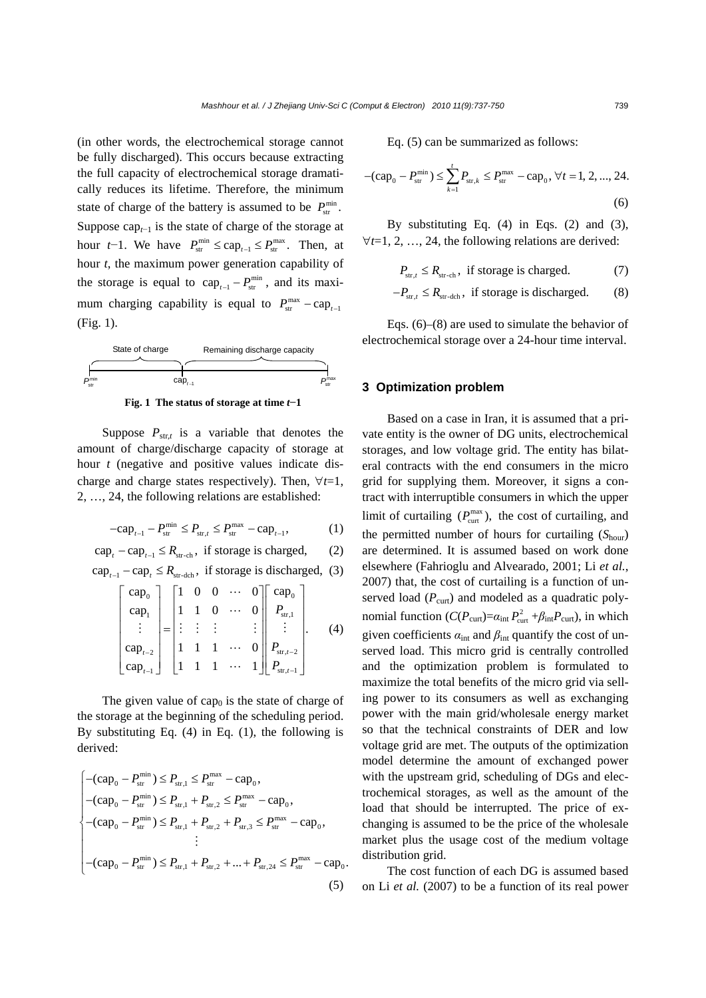(in other words, the electrochemical storage cannot be fully discharged). This occurs because extracting the full capacity of electrochemical storage dramatically reduces its lifetime. Therefore, the minimum state of charge of the battery is assumed to be  $P_{\text{str}}^{\text{min}}$ . Suppose cap*t*−1 is the state of charge of the storage at hour *t*−1. We have  $P_{\text{str}}^{\min} \leq \text{cap}_{t-1} \leq P_{\text{str}}^{\max}$ . Then, at hour *t*, the maximum power generation capability of the storage is equal to cap<sub> $t-1$ </sub> −  $P_{\text{str}}^{\min}$ , and its maximum charging capability is equal to  $P_{\text{str}}^{\text{max}} - \text{cap}_{t-1}$ (Fig. 1).



**Fig. 1 The status of storage at time** *t***−1** 

Suppose  $P_{\text{str},t}$  is a variable that denotes the amount of charge/discharge capacity of storage at hour *t* (negative and positive values indicate discharge and charge states respectively). Then, ∀*t*=1, 2, …, 24, the following relations are established:

$$
-cap_{t-1} - P_{str}^{min} \le P_{str,t} \le P_{str}^{max} - cap_{t-1}, \qquad (1)
$$

$$
capt - capt-1 \le Rstr-ch, if storage is charged, (2)
$$

$$
cap_{t-1} - cap_t \le R_{str-dch}, \text{ if storage is discharged, (3)}
$$

$$
\begin{bmatrix} \text{cap}_{0} \\ \text{cap}_{1} \\ \vdots \\ \text{cap}_{t-2} \\ \text{cap}_{t-1} \end{bmatrix} = \begin{bmatrix} 1 & 0 & 0 & \cdots & 0 \\ 1 & 1 & 0 & \cdots & 0 \\ \vdots & \vdots & \vdots & & \vdots \\ 1 & 1 & 1 & \cdots & 0 \\ 1 & 1 & 1 & \cdots & 1 \end{bmatrix} \begin{bmatrix} \text{cap}_{0} \\ P_{\text{str},1} \\ \vdots \\ P_{\text{str},t-2} \\ \vdots \\ P_{\text{str},t-1} \end{bmatrix} .
$$
 (4)

The given value of cap<sub>0</sub> is the state of charge of the storage at the beginning of the scheduling period. By substituting Eq.  $(4)$  in Eq.  $(1)$ , the following is derived:

$$
\begin{cases}\n-(cap_0 - P_{\text{str}}^{\min}) \le P_{\text{str},1} \le P_{\text{str}}^{\max} - cap_0, \\
-(cap_0 - P_{\text{str}}^{\min}) \le P_{\text{str},1} + P_{\text{str},2} \le P_{\text{str}}^{\max} - cap_0, \\
-(cap_0 - P_{\text{str}}^{\min}) \le P_{\text{str},1} + P_{\text{str},2} + P_{\text{str},3} \le P_{\text{str}}^{\max} - cap_0, \\
\vdots \\
-(cap_0 - P_{\text{str}}^{\min}) \le P_{\text{str},1} + P_{\text{str},2} + \ldots + P_{\text{str},24} \le P_{\text{str}}^{\max} - cap_0.\n\end{cases}
$$
\n(5)

Eq. (5) can be summarized as follows:

$$
-(\text{cap}_0 - P_{\text{str}}^{\min}) \le \sum_{k=1}^{t} P_{\text{str},k} \le P_{\text{str}}^{\max} - \text{cap}_0, \,\forall t = 1, 2, ..., 24.
$$
\n(6)

By substituting Eq. (4) in Eqs. (2) and (3), ∀*t*=1, 2, …, 24, the following relations are derived:

$$
P_{\text{str},t} \le R_{\text{str-ch}}, \text{ if storage is charged.} \tag{7}
$$

$$
-P_{\text{str},t} \le R_{\text{str-dch}}, \text{ if storage is discharged.} \qquad (8)
$$

Eqs. (6)–(8) are used to simulate the behavior of electrochemical storage over a 24-hour time interval.

## **3 Optimization problem**

Based on a case in Iran, it is assumed that a private entity is the owner of DG units, electrochemical storages, and low voltage grid. The entity has bilateral contracts with the end consumers in the micro grid for supplying them. Moreover, it signs a contract with interruptible consumers in which the upper limit of curtailing  $(P_{\text{cut}}^{\text{max}})$ , the cost of curtailing, and the permitted number of hours for curtailing (*S*hour) are determined. It is assumed based on work done elsewhere (Fahrioglu and Alvearado, 2001; Li *et al.*, 2007) that, the cost of curtailing is a function of unserved load  $(P_{\text{curl}})$  and modeled as a quadratic polynomial function  $(C(P_{\text{curl}})=\alpha_{\text{int}} P_{\text{cut}}^2 + \beta_{\text{int}} P_{\text{cut}})$ , in which given coefficients  $\alpha_{\text{int}}$  and  $\beta_{\text{int}}$  quantify the cost of unserved load. This micro grid is centrally controlled and the optimization problem is formulated to maximize the total benefits of the micro grid via selling power to its consumers as well as exchanging power with the main grid/wholesale energy market so that the technical constraints of DER and low voltage grid are met. The outputs of the optimization model determine the amount of exchanged power with the upstream grid, scheduling of DGs and electrochemical storages, as well as the amount of the load that should be interrupted. The price of exchanging is assumed to be the price of the wholesale market plus the usage cost of the medium voltage distribution grid.

The cost function of each DG is assumed based on Li *et al.* (2007) to be a function of its real power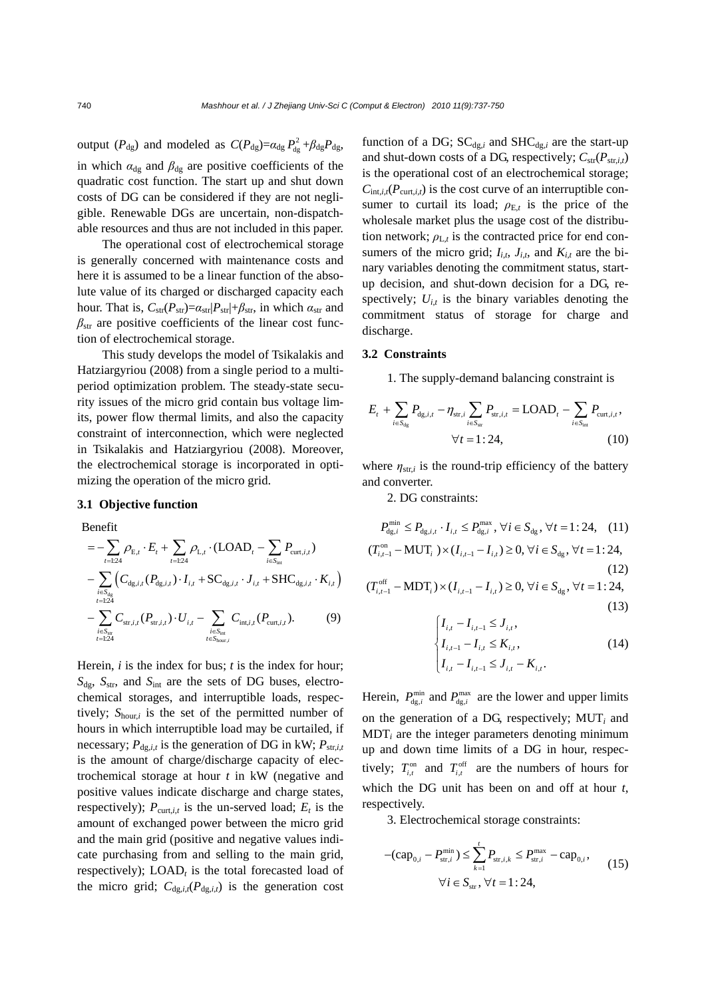output ( $P_{dg}$ ) and modeled as  $C(P_{dg}) = \alpha_{dg} P_{dg}^2 + \beta_{dg} P_{dg}$ , in which  $\alpha_{\text{dg}}$  and  $\beta_{\text{dg}}$  are positive coefficients of the quadratic cost function. The start up and shut down costs of DG can be considered if they are not negligible. Renewable DGs are uncertain, non-dispatchable resources and thus are not included in this paper.

The operational cost of electrochemical storage is generally concerned with maintenance costs and here it is assumed to be a linear function of the absolute value of its charged or discharged capacity each hour. That is,  $C_{\text{str}}(P_{\text{str}})=\alpha_{\text{str}}|P_{\text{str}}|+\beta_{\text{str}}$ , in which  $\alpha_{\text{str}}$  and  $\beta_{str}$  are positive coefficients of the linear cost function of electrochemical storage.

This study develops the model of Tsikalakis and Hatziargyriou (2008) from a single period to a multiperiod optimization problem. The steady-state security issues of the micro grid contain bus voltage limits, power flow thermal limits, and also the capacity constraint of interconnection, which were neglected in Tsikalakis and Hatziargyriou (2008). Moreover, the electrochemical storage is incorporated in optimizing the operation of the micro grid.

#### **3.1 Objective function**

Benefit

$$
= -\sum_{t=1:24} \rho_{E,t} \cdot E_t + \sum_{t=1:24} \rho_{L,t} \cdot (LOAD_t - \sum_{i \in S_{int}} P_{\text{cut},i,t}) - \sum_{i \in S_{def}} (C_{dg,i,t} (P_{dg,i,t}) \cdot I_{i,t} + SC_{dg,i,t} \cdot J_{i,t} + SHC_{dg,i,t} \cdot K_{i,t}) - \sum_{t=1:24} \sum_{t=1:24} C_{\text{str},i,t} (P_{\text{str},i,t}) \cdot U_{i,t} - \sum_{t \in S_{int}} C_{\text{int},i,t} (P_{\text{cut},i,t}).
$$
 (9)

Herein, *i* is the index for bus; *t* is the index for hour; *S*dg, *S*str, and *S*int are the sets of DG buses, electrochemical storages, and interruptible loads, respectively;  $S_{\text{hour},i}$  is the set of the permitted number of hours in which interruptible load may be curtailed, if necessary;  $P_{\text{de},i,t}$  is the generation of DG in kW;  $P_{\text{str},i,t}$ is the amount of charge/discharge capacity of electrochemical storage at hour *t* in kW (negative and positive values indicate discharge and charge states, respectively);  $P_{\text{curl},i,t}$  is the un-served load;  $E_t$  is the amount of exchanged power between the micro grid and the main grid (positive and negative values indicate purchasing from and selling to the main grid, respectively);  $LOAD<sub>t</sub>$  is the total forecasted load of the micro grid;  $C_{dg,i,t}(P_{dg,i,t})$  is the generation cost

function of a DG;  $SC_{dg,i}$  and  $SHC_{dg,i}$  are the start-up and shut-down costs of a DG, respectively;  $C_{\text{str}}(P_{\text{str},i,t})$ is the operational cost of an electrochemical storage;  $C_{int,i,f}(P_{\text{curl},i,f})$  is the cost curve of an interruptible consumer to curtail its load;  $\rho_{E,t}$  is the price of the wholesale market plus the usage cost of the distribution network;  $\rho_{L,t}$  is the contracted price for end consumers of the micro grid;  $I_{i,t}$ ,  $J_{i,t}$ , and  $K_{i,t}$  are the binary variables denoting the commitment status, startup decision, and shut-down decision for a DG, respectively;  $U_{i,t}$  is the binary variables denoting the commitment status of storage for charge and discharge.

#### **3.2 Constraints**

1. The supply-demand balancing constraint is

$$
E_{t} + \sum_{i \in S_{dg}} P_{dg,i,t} - \eta_{\text{str},i} \sum_{i \in S_{\text{str}}} P_{\text{str},i,t} = \text{LOAD}_{t} - \sum_{i \in S_{\text{int}}} P_{\text{cut},i,t},
$$
  

$$
\forall t = 1:24,
$$
 (10)

where  $\eta_{str,i}$  is the round-trip efficiency of the battery and converter.

2. DG constraints:

$$
P_{\text{dg},i}^{\min} \le P_{\text{dg},i,t} \cdot I_{i,t} \le P_{\text{dg},i}^{\max}, \forall i \in S_{\text{dg}}, \forall t = 1:24, (11)
$$
  

$$
(T_{i,t-1}^{\text{on}} - \text{MUT}_i) \times (I_{i,t-1} - I_{i,t}) \ge 0, \forall i \in S_{\text{dg}}, \forall t = 1:24,
$$

(12)  
\n
$$
(T_{i,t-1}^{\text{off}} - \text{MDT}_i) \times (I_{i,t-1} - I_{i,t}) \ge 0, \forall i \in S_{dg}, \forall t = 1:24,
$$
\n(13)

$$
\begin{cases}\nI_{i,t} - I_{i,t-1} \leq J_{i,t}, \\
I_{i,t-1} - I_{i,t} \leq K_{i,t}, \\
I_{i,t} - I_{i,t-1} \leq J_{i,t} - K_{i,t}.\n\end{cases}
$$
\n(14)

Herein,  $P_{dg,i}^{min}$  and  $P_{dg,i}^{max}$  are the lower and upper limits on the generation of a DG, respectively; MUT*i* and MDT*i* are the integer parameters denoting minimum up and down time limits of a DG in hour, respectively;  $T_{i,t}^{\text{on}}$  and  $T_{i,t}^{\text{off}}$  are the numbers of hours for which the DG unit has been on and off at hour *t*, respectively.

3. Electrochemical storage constraints:

$$
-(\text{cap}_{0,i} - P_{\text{str},i}^{\text{min}}) \le \sum_{k=1}^{t} P_{\text{str},i,k} \le P_{\text{str},i}^{\text{max}} - \text{cap}_{0,i},
$$
  

$$
\forall i \in S_{\text{str}}, \forall t = 1:24,
$$
 (15)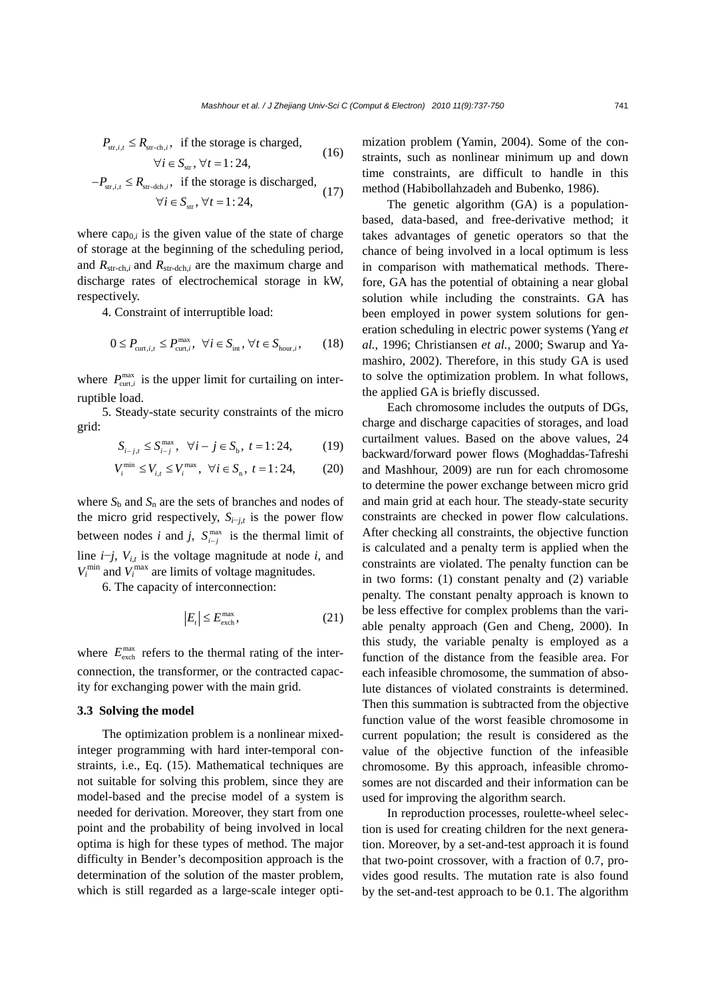$$
P_{\text{str},i,t} \le R_{\text{str-ch},i}, \text{ if the storage is charged,}
$$
  

$$
\forall i \in S_{\text{str}}, \forall t = 1:24,
$$
 (16)

$$
-P_{\text{str},i,t} \le R_{\text{str-dch},i}, \text{ if the storage is discharged,}
$$

$$
\forall i \in S_{\text{str}}, \forall t = 1:24,
$$
 (17)

where  $cap_{0,i}$  is the given value of the state of charge of storage at the beginning of the scheduling period, and  $R_{str-ch,i}$  and  $R_{str-dch,i}$  are the maximum charge and discharge rates of electrochemical storage in kW, respectively.

4. Constraint of interruptible load:

$$
0 \le P_{\text{cut},i,t} \le P_{\text{cut},i}^{\max}, \ \forall i \in S_{\text{int}}, \forall t \in S_{\text{hour},i}, \qquad (18)
$$

where  $P_{\text{curl},i}^{\text{max}}$  is the upper limit for curtailing on interruptible load.

5. Steady-state security constraints of the micro grid:

$$
S_{i-j,t} \le S_{i-j}^{\max}, \quad \forall i - j \in S_{b}, \ t = 1:24, \tag{19}
$$

$$
V_i^{\min} \le V_{i,t} \le V_i^{\max}, \ \forall i \in S_n, \ t = 1:24,
$$
 (20)

where  $S_b$  and  $S_n$  are the sets of branches and nodes of the micro grid respectively,  $S_{i-j,t}$  is the power flow between nodes *i* and *j*,  $S_{i-j}^{\max}$  is the thermal limit of line *i*−*j*, *Vi*,*t* is the voltage magnitude at node *i*, and  $V_i^{\text{min}}$  and  $V_i^{\text{max}}$  are limits of voltage magnitudes.

6. The capacity of interconnection:

$$
\left|E_t\right| \le E_{\text{exch}}^{\text{max}},\tag{21}
$$

where  $E_{\text{exch}}^{\text{max}}$  refers to the thermal rating of the interconnection, the transformer, or the contracted capacity for exchanging power with the main grid.

## **3.3 Solving the model**

The optimization problem is a nonlinear mixedinteger programming with hard inter-temporal constraints, i.e., Eq. (15). Mathematical techniques are not suitable for solving this problem, since they are model-based and the precise model of a system is needed for derivation. Moreover, they start from one point and the probability of being involved in local optima is high for these types of method. The major difficulty in Bender's decomposition approach is the determination of the solution of the master problem, which is still regarded as a large-scale integer optimization problem (Yamin, 2004). Some of the constraints, such as nonlinear minimum up and down time constraints, are difficult to handle in this method (Habibollahzadeh and Bubenko, 1986).

The genetic algorithm (GA) is a populationbased, data-based, and free-derivative method; it takes advantages of genetic operators so that the chance of being involved in a local optimum is less in comparison with mathematical methods. Therefore, GA has the potential of obtaining a near global solution while including the constraints. GA has been employed in power system solutions for generation scheduling in electric power systems (Yang *et al.*, 1996; Christiansen *et al.*, 2000; Swarup and Yamashiro, 2002). Therefore, in this study GA is used to solve the optimization problem. In what follows, the applied GA is briefly discussed.

Each chromosome includes the outputs of DGs, charge and discharge capacities of storages, and load curtailment values. Based on the above values, 24 backward/forward power flows (Moghaddas-Tafreshi and Mashhour, 2009) are run for each chromosome to determine the power exchange between micro grid and main grid at each hour. The steady-state security constraints are checked in power flow calculations. After checking all constraints, the objective function is calculated and a penalty term is applied when the constraints are violated. The penalty function can be in two forms: (1) constant penalty and (2) variable penalty. The constant penalty approach is known to be less effective for complex problems than the variable penalty approach (Gen and Cheng, 2000). In this study, the variable penalty is employed as a function of the distance from the feasible area. For each infeasible chromosome, the summation of absolute distances of violated constraints is determined. Then this summation is subtracted from the objective function value of the worst feasible chromosome in current population; the result is considered as the value of the objective function of the infeasible chromosome. By this approach, infeasible chromosomes are not discarded and their information can be used for improving the algorithm search.

In reproduction processes, roulette-wheel selection is used for creating children for the next generation. Moreover, by a set-and-test approach it is found that two-point crossover, with a fraction of 0.7, provides good results. The mutation rate is also found by the set-and-test approach to be 0.1. The algorithm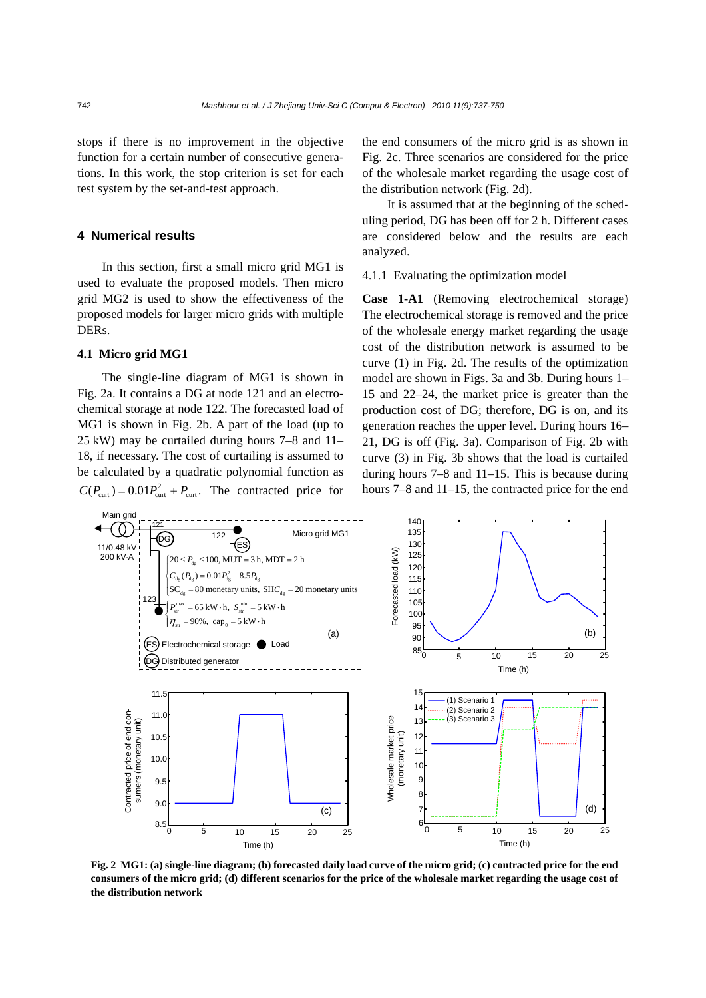stops if there is no improvement in the objective function for a certain number of consecutive generations. In this work, the stop criterion is set for each test system by the set-and-test approach.

### **4 Numerical results**

In this section, first a small micro grid MG1 is used to evaluate the proposed models. Then micro grid MG2 is used to show the effectiveness of the proposed models for larger micro grids with multiple DERs.

## **4.1 Micro grid MG1**

The single-line diagram of MG1 is shown in Fig. 2a. It contains a DG at node 121 and an electrochemical storage at node 122. The forecasted load of MG1 is shown in Fig. 2b. A part of the load (up to 25 kW) may be curtailed during hours 7–8 and 11– 18, if necessary. The cost of curtailing is assumed to be calculated by a quadratic polynomial function as  $C(P_{\text{cut}}) = 0.01 P_{\text{cut}}^2 + P_{\text{cut}}$ . The contracted price for the end consumers of the micro grid is as shown in Fig. 2c. Three scenarios are considered for the price of the wholesale market regarding the usage cost of the distribution network (Fig. 2d).

It is assumed that at the beginning of the scheduling period, DG has been off for 2 h. Different cases are considered below and the results are each analyzed.

#### 4.1.1 Evaluating the optimization model

**Case 1-A1** (Removing electrochemical storage) The electrochemical storage is removed and the price of the wholesale energy market regarding the usage cost of the distribution network is assumed to be curve (1) in Fig. 2d. The results of the optimization model are shown in Figs. 3a and 3b. During hours 1– 15 and 22–24, the market price is greater than the production cost of DG; therefore, DG is on, and its generation reaches the upper level. During hours 16– 21, DG is off (Fig. 3a). Comparison of Fig. 2b with curve (3) in Fig. 3b shows that the load is curtailed during hours 7–8 and 11–15. This is because during hours 7–8 and 11–15, the contracted price for the end



**Fig. 2 MG1: (a) single-line diagram; (b) forecasted daily load curve of the micro grid; (c) contracted price for the end consumers of the micro grid; (d) different scenarios for the price of the wholesale market regarding the usage cost of the distribution network**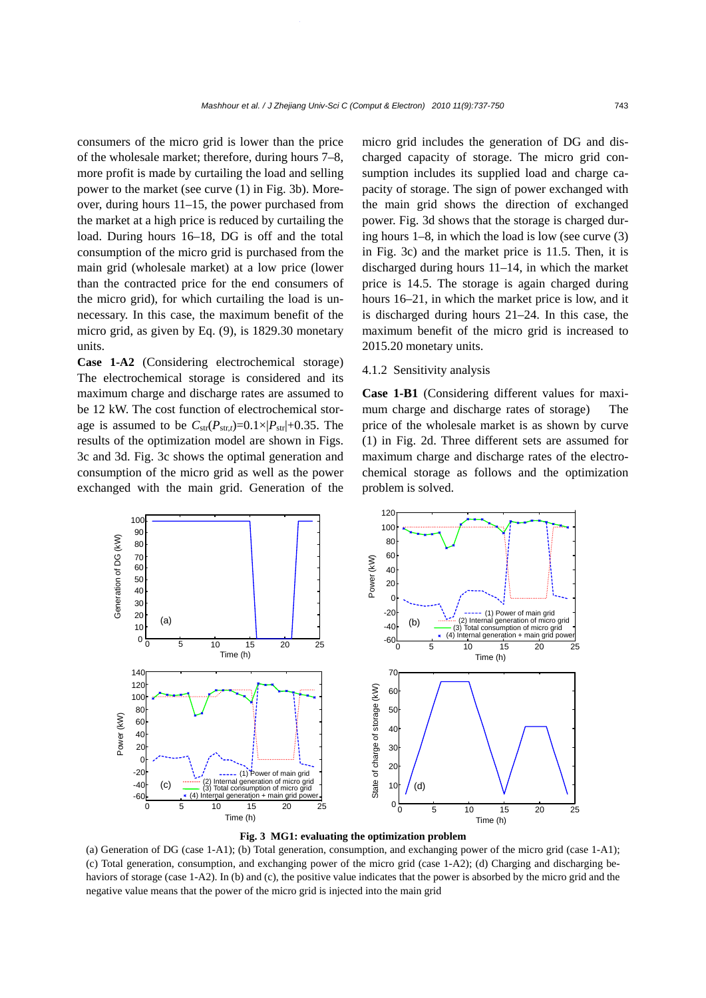consumers of the micro grid is lower than the price of the wholesale market; therefore, during hours 7–8, more profit is made by curtailing the load and selling power to the market (see curve (1) in Fig. 3b). Moreover, during hours 11–15, the power purchased from the market at a high price is reduced by curtailing the load. During hours 16–18, DG is off and the total consumption of the micro grid is purchased from the main grid (wholesale market) at a low price (lower than the contracted price for the end consumers of the micro grid), for which curtailing the load is unnecessary. In this case, the maximum benefit of the micro grid, as given by Eq. (9), is 1829.30 monetary units.

**Case 1-A2** (Considering electrochemical storage) The electrochemical storage is considered and its maximum charge and discharge rates are assumed to be 12 kW. The cost function of electrochemical storage is assumed to be  $C_{str}(P_{str,t})=0.1\times|P_{str}|+0.35$ . The results of the optimization model are shown in Figs. 3c and 3d. Fig. 3c shows the optimal generation and consumption of the micro grid as well as the power exchanged with the main grid. Generation of the micro grid includes the generation of DG and discharged capacity of storage. The micro grid consumption includes its supplied load and charge capacity of storage. The sign of power exchanged with the main grid shows the direction of exchanged power. Fig. 3d shows that the storage is charged during hours 1–8, in which the load is low (see curve (3) in Fig. 3c) and the market price is 11.5. Then, it is discharged during hours 11–14, in which the market price is 14.5. The storage is again charged during hours 16–21, in which the market price is low, and it is discharged during hours 21–24. In this case, the maximum benefit of the micro grid is increased to 2015.20 monetary units.

## 4.1.2 Sensitivity analysis

**Case 1-B1** (Considering different values for maximum charge and discharge rates of storage) The price of the wholesale market is as shown by curve (1) in Fig. 2d. Three different sets are assumed for maximum charge and discharge rates of the electrochemical storage as follows and the optimization problem is solved.



#### **Fig. 3 MG1: evaluating the optimization problem**

(a) Generation of DG (case 1-A1); (b) Total generation, consumption, and exchanging power of the micro grid (case 1-A1); (c) Total generation, consumption, and exchanging power of the micro grid (case 1-A2); (d) Charging and discharging behaviors of storage (case 1-A2). In (b) and (c), the positive value indicates that the power is absorbed by the micro grid and the negative value means that the power of the micro grid is injected into the main grid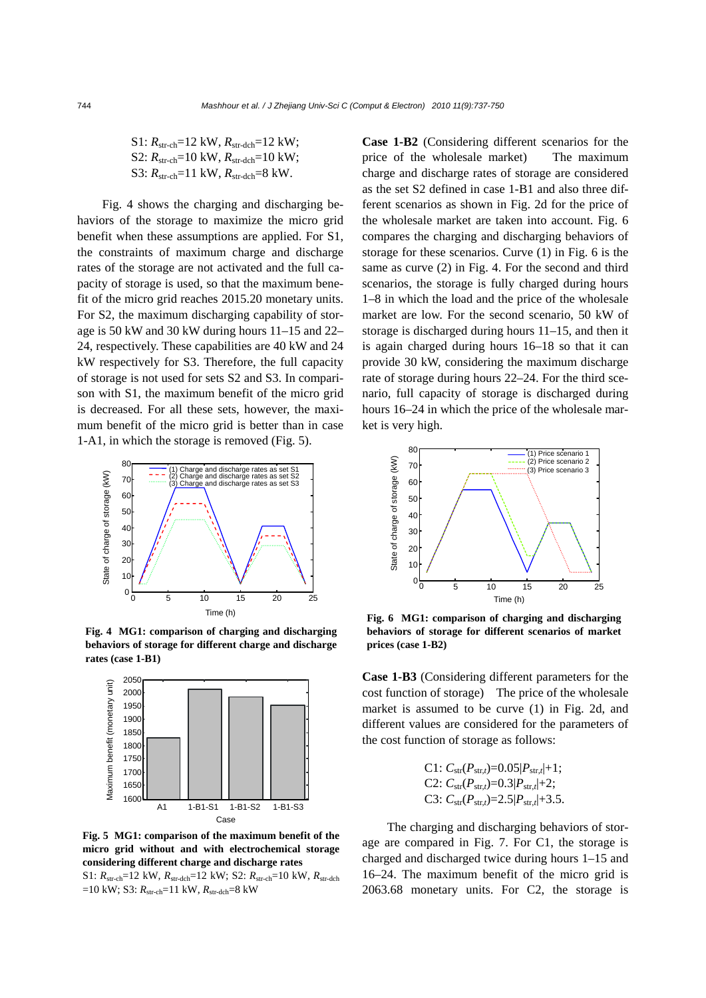$S1: R_{str-ch} = 12$  kW,  $R_{str-dch} = 12$  kW; S2: *R*str-ch=10 kW, *R*str-dch=10 kW; S3: *R*str-ch=11 kW, *R*str-dch=8 kW.

Fig. 4 shows the charging and discharging behaviors of the storage to maximize the micro grid benefit when these assumptions are applied. For S1, the constraints of maximum charge and discharge rates of the storage are not activated and the full capacity of storage is used, so that the maximum benefit of the micro grid reaches 2015.20 monetary units. For S2, the maximum discharging capability of storage is 50 kW and 30 kW during hours 11–15 and 22– 24, respectively. These capabilities are 40 kW and 24 kW respectively for S3. Therefore, the full capacity of storage is not used for sets S2 and S3. In comparison with S1, the maximum benefit of the micro grid is decreased. For all these sets, however, the maximum benefit of the micro grid is better than in case 1-A1, in which the storage is removed (Fig. 5).



**Fig. 4 MG1: comparison of charging and discharging behaviors of storage for different charge and discharge rates (case 1-B1)** 



**Fig. 5 MG1: comparison of the maximum benefit of the micro grid without and with electrochemical storage considering different charge and discharge rates** 

S1:  $R_{str-ch}$ =12 kW,  $R_{str-dch}$ =12 kW; S2:  $R_{str-ch}$ =10 kW,  $R_{str-dch}$  $=10 \text{ kW}$ ; S3:  $R_{\text{str-ch}}=11 \text{ kW}$ ,  $R_{\text{str-ch}}=8 \text{ kW}$ 

**Case 1-B2** (Considering different scenarios for the price of the wholesale market) The maximum charge and discharge rates of storage are considered as the set S2 defined in case 1-B1 and also three different scenarios as shown in Fig. 2d for the price of the wholesale market are taken into account. Fig. 6 compares the charging and discharging behaviors of storage for these scenarios. Curve (1) in Fig. 6 is the same as curve (2) in Fig. 4. For the second and third scenarios, the storage is fully charged during hours 1–8 in which the load and the price of the wholesale market are low. For the second scenario, 50 kW of storage is discharged during hours 11–15, and then it is again charged during hours 16–18 so that it can provide 30 kW, considering the maximum discharge rate of storage during hours 22–24. For the third scenario, full capacity of storage is discharged during hours 16–24 in which the price of the wholesale market is very high.



**Fig. 6 MG1: comparison of charging and discharging behaviors of storage for different scenarios of market prices (case 1-B2)** 

**Case 1-B3** (Considering different parameters for the cost function of storage) The price of the wholesale market is assumed to be curve (1) in Fig. 2d, and different values are considered for the parameters of the cost function of storage as follows:

> $C1: C_{str}(P_{str,t})=0.05|P_{str,t}|+1;$ C2:  $C_{\text{str}}(P_{\text{str.}t})=0.3|P_{\text{str.}t}|+2;$ C3:  $C_{\text{str}}(P_{\text{str.}t})=2.5|P_{\text{str.}t}|+3.5$ .

The charging and discharging behaviors of storage are compared in Fig. 7. For C1, the storage is charged and discharged twice during hours 1–15 and 16–24. The maximum benefit of the micro grid is 2063.68 monetary units. For C2, the storage is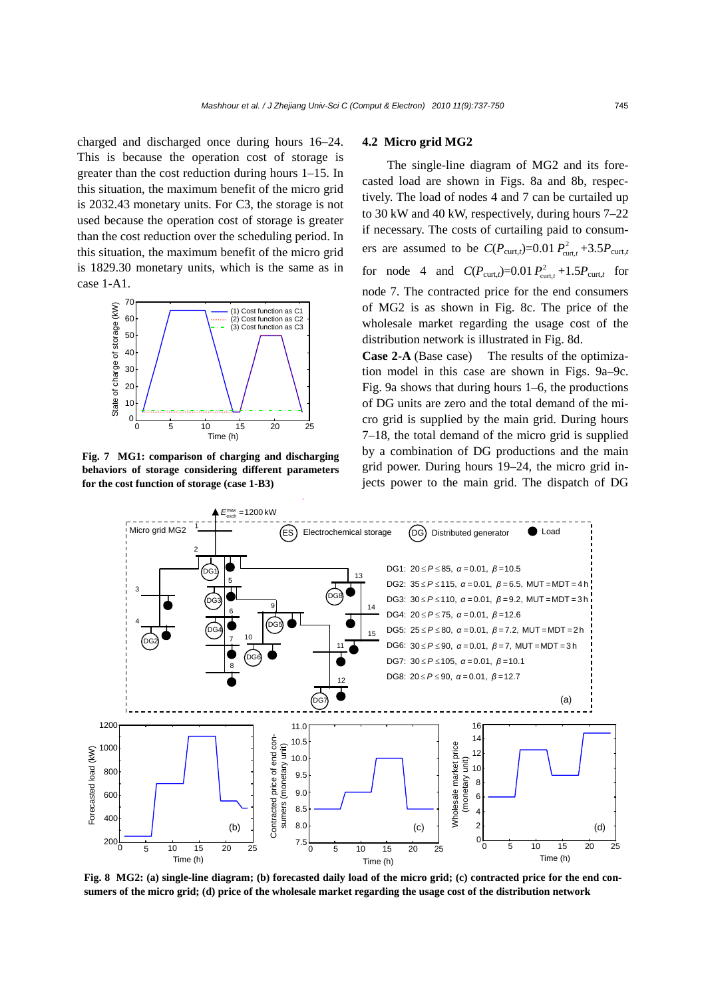charged and discharged once during hours 16–24. This is because the operation cost of storage is greater than the cost reduction during hours 1–15. In this situation, the maximum benefit of the micro grid is 2032.43 monetary units. For C3, the storage is not used because the operation cost of storage is greater than the cost reduction over the scheduling period. In this situation, the maximum benefit of the micro grid is 1829.30 monetary units, which is the same as in case 1-A1.



**Fig. 7 MG1: comparison of charging and discharging behaviors of storage considering different parameters for the cost function of storage (case 1-B3)** 

## **4.2 Micro grid MG2**

The single-line diagram of MG2 and its forecasted load are shown in Figs. 8a and 8b, respectively. The load of nodes 4 and 7 can be curtailed up to 30 kW and 40 kW, respectively, during hours 7–22 if necessary. The costs of curtailing paid to consumers are assumed to be  $C(P_{\text{cut},t})=0.01 P_{\text{cut},t}^2 + 3.5 P_{\text{cut},t}$ for node 4 and  $C(P_{\text{curl},t})=0.01 P_{\text{cut},t}^2+1.5 P_{\text{cut},t}$  for node 7. The contracted price for the end consumers of MG2 is as shown in Fig. 8c. The price of the wholesale market regarding the usage cost of the distribution network is illustrated in Fig. 8d.

**Case 2-A** (Base case)The results of the optimization model in this case are shown in Figs. 9a–9c. Fig. 9a shows that during hours 1–6, the productions of DG units are zero and the total demand of the micro grid is supplied by the main grid. During hours 7–18, the total demand of the micro grid is supplied by a combination of DG productions and the main grid power. During hours 19–24, the micro grid injects power to the main grid. The dispatch of DG



**Fig. 8 MG2: (a) single-line diagram; (b) forecasted daily load of the micro grid; (c) contracted price for the end consumers of the micro grid; (d) price of the wholesale market regarding the usage cost of the distribution network**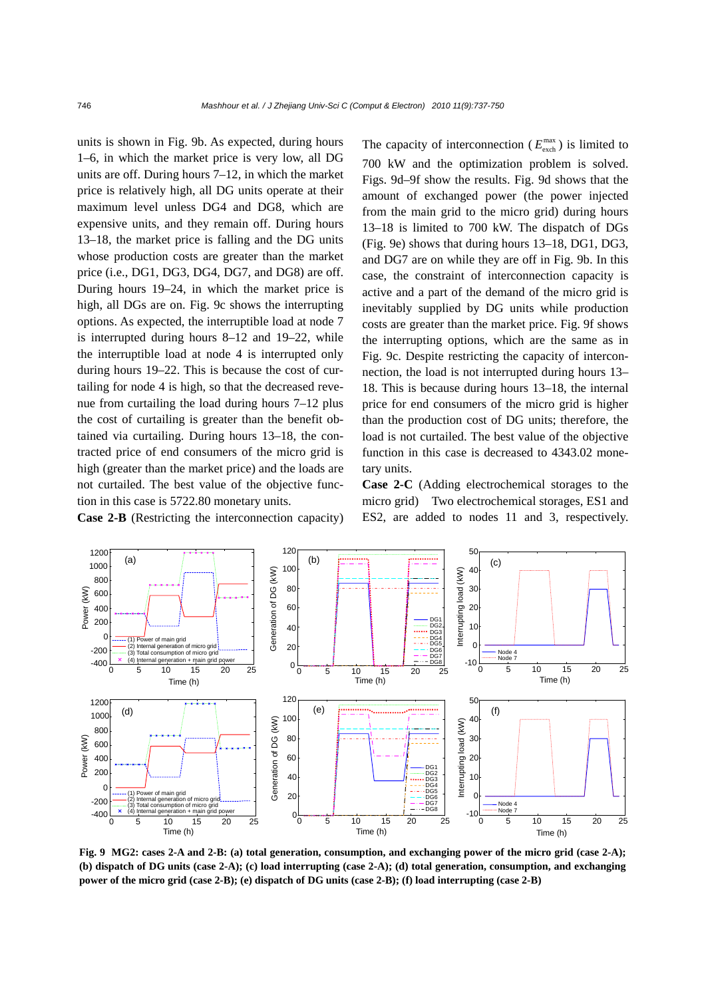units is shown in Fig. 9b. As expected, during hours 1–6, in which the market price is very low, all DG units are off. During hours 7–12, in which the market price is relatively high, all DG units operate at their maximum level unless DG4 and DG8, which are expensive units, and they remain off. During hours 13–18, the market price is falling and the DG units whose production costs are greater than the market price (i.e., DG1, DG3, DG4, DG7, and DG8) are off. During hours 19–24, in which the market price is high, all DGs are on. Fig. 9c shows the interrupting options. As expected, the interruptible load at node 7 is interrupted during hours 8–12 and 19–22, while the interruptible load at node 4 is interrupted only during hours 19–22. This is because the cost of curtailing for node 4 is high, so that the decreased revenue from curtailing the load during hours 7–12 plus the cost of curtailing is greater than the benefit obtained via curtailing. During hours 13–18, the contracted price of end consumers of the micro grid is high (greater than the market price) and the loads are not curtailed. The best value of the objective function in this case is 5722.80 monetary units.

**Case 2-B** (Restricting the interconnection capacity)

The capacity of interconnection ( $E_{\text{exch}}^{\text{max}}$ ) is limited to 700 kW and the optimization problem is solved. Figs. 9d–9f show the results. Fig. 9d shows that the amount of exchanged power (the power injected from the main grid to the micro grid) during hours 13–18 is limited to 700 kW. The dispatch of DGs (Fig. 9e) shows that during hours 13–18, DG1, DG3, and DG7 are on while they are off in Fig. 9b. In this case, the constraint of interconnection capacity is active and a part of the demand of the micro grid is inevitably supplied by DG units while production costs are greater than the market price. Fig. 9f shows the interrupting options, which are the same as in Fig. 9c. Despite restricting the capacity of interconnection, the load is not interrupted during hours 13– 18. This is because during hours 13–18, the internal price for end consumers of the micro grid is higher than the production cost of DG units; therefore, the load is not curtailed. The best value of the objective function in this case is decreased to 4343.02 monetary units.

**Case 2-C** (Adding electrochemical storages to the micro grid) Two electrochemical storages, ES1 and ES2, are added to nodes 11 and 3, respectively.



**Fig. 9 MG2: cases 2-A and 2-B: (a) total generation, consumption, and exchanging power of the micro grid (case 2-A); (b) dispatch of DG units (case 2-A); (c) load interrupting (case 2-A); (d) total generation, consumption, and exchanging power of the micro grid (case 2-B); (e) dispatch of DG units (case 2-B); (f) load interrupting (case 2-B)**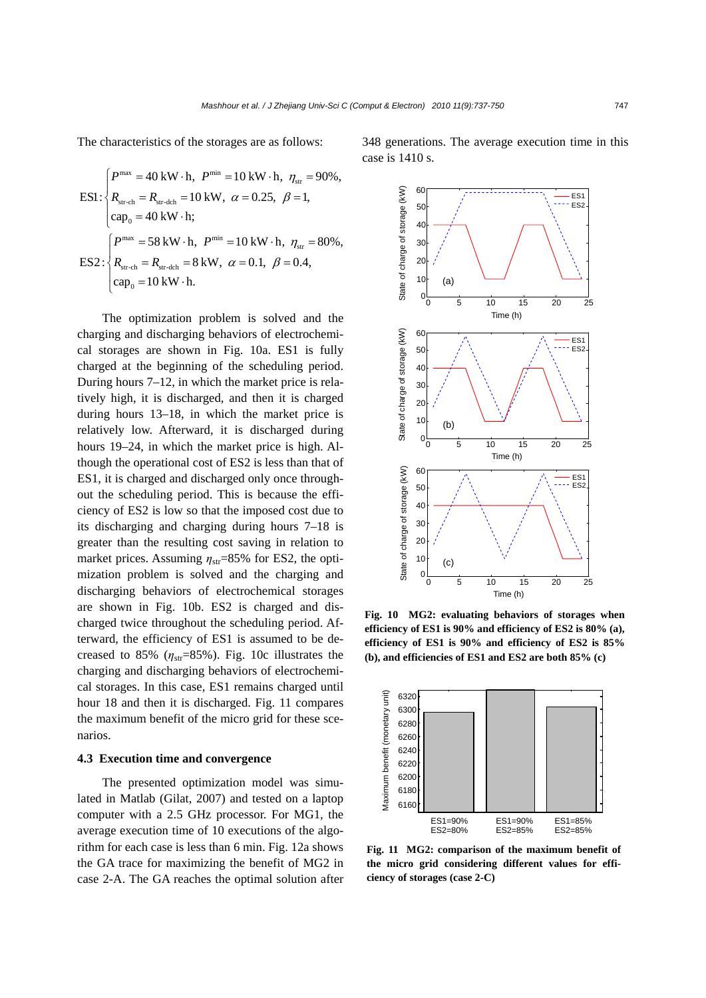The characteristics of the storages are as follows:

$$
ES1: \begin{cases} P^{\max} = 40 \text{ kW} \cdot \text{h}, \ P^{\min} = 10 \text{ kW} \cdot \text{h}, \ \eta_{\text{str}} = 90\%, \\ R_{\text{str-ch}} = R_{\text{str-dch}} = 10 \text{ kW}, \ \alpha = 0.25, \ \beta = 1, \\ \text{cap}_0 = 40 \text{ kW} \cdot \text{h}; \\ P^{\max} = 58 \text{ kW} \cdot \text{h}, \ P^{\min} = 10 \text{ kW} \cdot \text{h}, \ \eta_{\text{str}} = 80\%, \\ ES2: \begin{cases} R_{\text{str-ch}} = R_{\text{str-dch}} = 8 \text{ kW}, \ \alpha = 0.1, \ \beta = 0.4, \\ \text{cap}_0 = 10 \text{ kW} \cdot \text{h}. \end{cases} \end{cases}
$$

The optimization problem is solved and the charging and discharging behaviors of electrochemical storages are shown in Fig. 10a. ES1 is fully charged at the beginning of the scheduling period. During hours 7–12, in which the market price is relatively high, it is discharged, and then it is charged during hours 13–18, in which the market price is relatively low. Afterward, it is discharged during hours 19–24, in which the market price is high. Although the operational cost of ES2 is less than that of ES1, it is charged and discharged only once throughout the scheduling period. This is because the efficiency of ES2 is low so that the imposed cost due to its discharging and charging during hours 7–18 is greater than the resulting cost saving in relation to market prices. Assuming  $η<sub>str</sub>=85%$  for ES2, the optimization problem is solved and the charging and discharging behaviors of electrochemical storages are shown in Fig. 10b. ES2 is charged and discharged twice throughout the scheduling period. Afterward, the efficiency of ES1 is assumed to be decreased to 85%  $(\eta_{str}=85\%)$ . Fig. 10c illustrates the charging and discharging behaviors of electrochemical storages. In this case, ES1 remains charged until hour 18 and then it is discharged. Fig. 11 compares the maximum benefit of the micro grid for these scenarios.

## **4.3 Execution time and convergence**

The presented optimization model was simulated in Matlab (Gilat, 2007) and tested on a laptop computer with a 2.5 GHz processor. For MG1, the average execution time of 10 executions of the algorithm for each case is less than 6 min. Fig. 12a shows the GA trace for maximizing the benefit of MG2 in case 2-A. The GA reaches the optimal solution after 348 generations. The average execution time in this case is 1410 s.



**Fig. 10 MG2: evaluating behaviors of storages when efficiency of ES1 is 90% and efficiency of ES2 is 80% (a), efficiency of ES1 is 90% and efficiency of ES2 is 85% (b), and efficiencies of ES1 and ES2 are both 85% (c)** 



**Fig. 11 MG2: comparison of the maximum benefit of the micro grid considering different values for efficiency of storages (case 2-C)**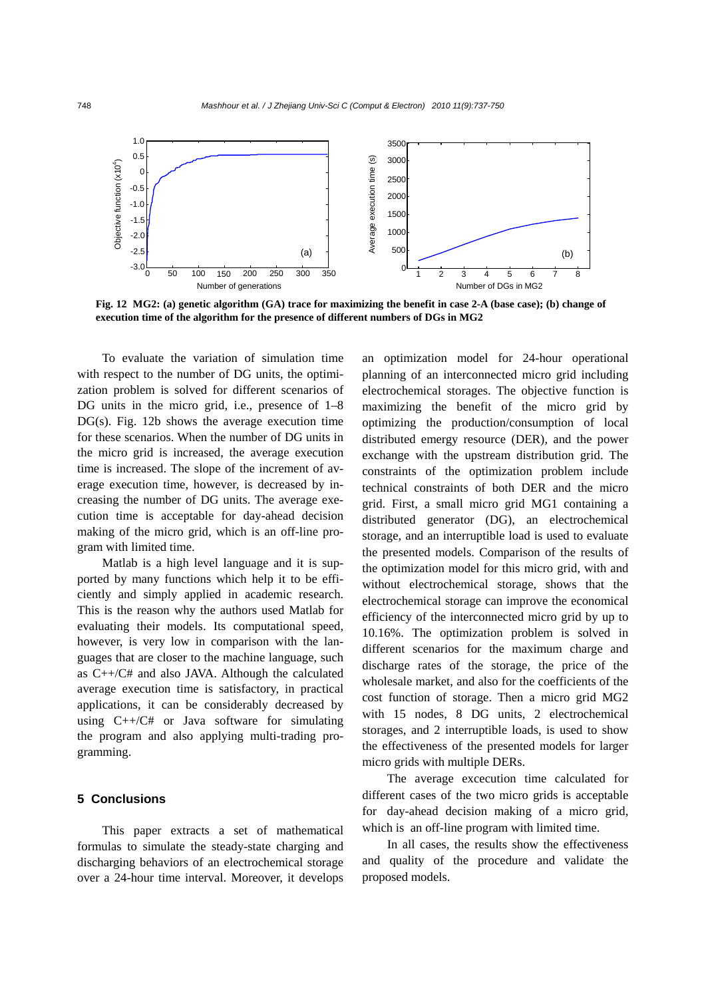

**Fig. 12 MG2: (a) genetic algorithm (GA) trace for maximizing the benefit in case 2-A (base case); (b) change of execution time of the algorithm for the presence of different numbers of DGs in MG2** 

To evaluate the variation of simulation time with respect to the number of DG units, the optimization problem is solved for different scenarios of DG units in the micro grid, i.e., presence of  $1-8$ DG(s). Fig. 12b shows the average execution time for these scenarios. When the number of DG units in the micro grid is increased, the average execution time is increased. The slope of the increment of average execution time, however, is decreased by increasing the number of DG units. The average execution time is acceptable for day-ahead decision making of the micro grid, which is an off-line program with limited time.

Matlab is a high level language and it is supported by many functions which help it to be efficiently and simply applied in academic research. This is the reason why the authors used Matlab for evaluating their models. Its computational speed, however, is very low in comparison with the languages that are closer to the machine language, such as C++/C# and also JAVA. Although the calculated average execution time is satisfactory, in practical applications, it can be considerably decreased by using  $C++/CH$  or Java software for simulating the program and also applying multi-trading programming.

# **5 Conclusions**

This paper extracts a set of mathematical formulas to simulate the steady-state charging and discharging behaviors of an electrochemical storage over a 24-hour time interval. Moreover, it develops an optimization model for 24-hour operational planning of an interconnected micro grid including electrochemical storages. The objective function is maximizing the benefit of the micro grid by optimizing the production/consumption of local distributed emergy resource (DER), and the power exchange with the upstream distribution grid. The constraints of the optimization problem include technical constraints of both DER and the micro grid. First, a small micro grid MG1 containing a distributed generator (DG), an electrochemical storage, and an interruptible load is used to evaluate the presented models. Comparison of the results of the optimization model for this micro grid, with and without electrochemical storage, shows that the electrochemical storage can improve the economical efficiency of the interconnected micro grid by up to 10.16%. The optimization problem is solved in different scenarios for the maximum charge and discharge rates of the storage, the price of the wholesale market, and also for the coefficients of the cost function of storage. Then a micro grid MG2 with 15 nodes, 8 DG units, 2 electrochemical storages, and 2 interruptible loads, is used to show the effectiveness of the presented models for larger micro grids with multiple DERs.

The average excecution time calculated for different cases of the two micro grids is acceptable for day-ahead decision making of a micro grid, which is an off-line program with limited time.

In all cases, the results show the effectiveness and quality of the procedure and validate the proposed models.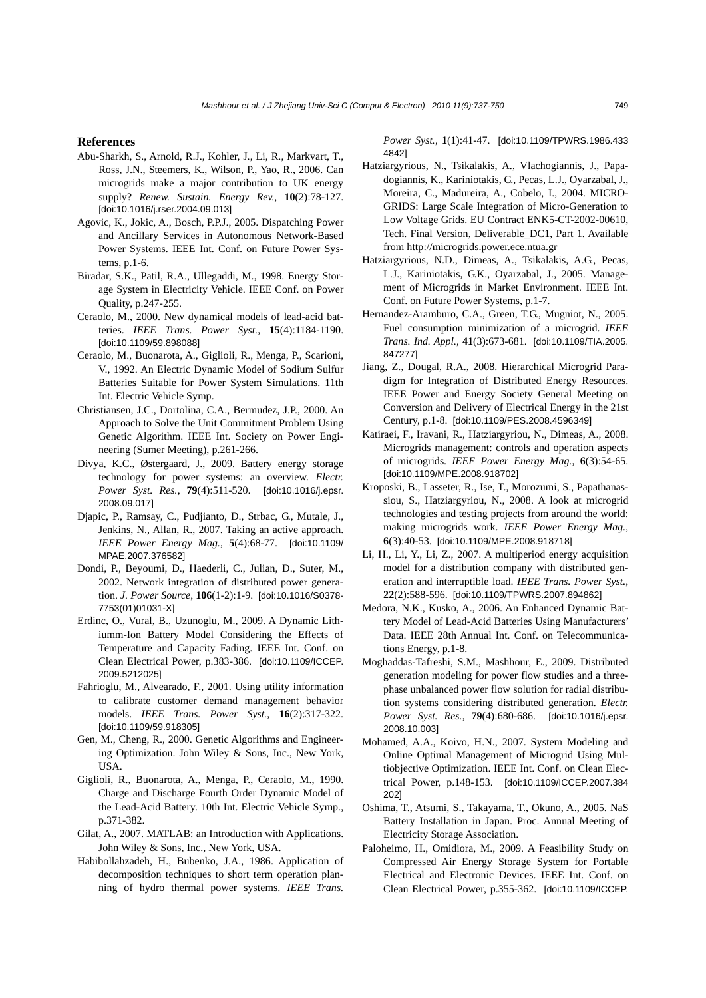#### **References**

- Abu-Sharkh, S., Arnold, R.J., Kohler, J., Li, R., Markvart, T., Ross, J.N., Steemers, K., Wilson, P., Yao, R., 2006. Can microgrids make a major contribution to UK energy supply? *Renew. Sustain. Energy Rev.*, **10**(2):78-127. [doi:10.1016/j.rser.2004.09.013]
- Agovic, K., Jokic, A., Bosch, P.P.J., 2005. Dispatching Power and Ancillary Services in Autonomous Network-Based Power Systems. IEEE Int. Conf. on Future Power Systems, p.1-6.
- Biradar, S.K., Patil, R.A., Ullegaddi, M., 1998. Energy Storage System in Electricity Vehicle. IEEE Conf. on Power Quality, p.247-255.
- Ceraolo, M., 2000. New dynamical models of lead-acid batteries. *IEEE Trans. Power Syst.*, **15**(4):1184-1190. [doi:10.1109/59.898088]
- Ceraolo, M., Buonarota, A., Giglioli, R., Menga, P., Scarioni, V., 1992. An Electric Dynamic Model of Sodium Sulfur Batteries Suitable for Power System Simulations. 11th Int. Electric Vehicle Symp.
- Christiansen, J.C., Dortolina, C.A., Bermudez, J.P., 2000. An Approach to Solve the Unit Commitment Problem Using Genetic Algorithm. IEEE Int. Society on Power Engineering (Sumer Meeting), p.261-266.
- Divya, K.C., Østergaard, J., 2009. Battery energy storage technology for power systems: an overview. *Electr. Power Syst. Res.*, **79**(4):511-520. [doi:10.1016/j.epsr. 2008.09.017]
- Djapic, P., Ramsay, C., Pudjianto, D., Strbac, G., Mutale, J., Jenkins, N., Allan, R., 2007. Taking an active approach. *IEEE Power Energy Mag.*, **5**(4):68-77. [doi:10.1109/ MPAE.2007.376582]
- Dondi, P., Beyoumi, D., Haederli, C., Julian, D., Suter, M., 2002. Network integration of distributed power generation. *J. Power Source*, **106**(1-2):1-9. [doi:10.1016/S0378- 7753(01)01031-X]
- Erdinc, O., Vural, B., Uzunoglu, M., 2009. A Dynamic Lithiumm-Ion Battery Model Considering the Effects of Temperature and Capacity Fading. IEEE Int. Conf. on Clean Electrical Power, p.383-386. [doi:10.1109/ICCEP. 2009.5212025]
- Fahrioglu, M., Alvearado, F., 2001. Using utility information to calibrate customer demand management behavior models. *IEEE Trans. Power Syst.*, **16**(2):317-322. [doi:10.1109/59.918305]
- Gen, M., Cheng, R., 2000. Genetic Algorithms and Engineering Optimization. John Wiley & Sons, Inc., New York, USA.
- Giglioli, R., Buonarota, A., Menga, P., Ceraolo, M., 1990. Charge and Discharge Fourth Order Dynamic Model of the Lead-Acid Battery. 10th Int. Electric Vehicle Symp., p.371-382.
- Gilat, A., 2007. MATLAB: an Introduction with Applications. John Wiley & Sons, Inc., New York, USA.
- Habibollahzadeh, H., Bubenko, J.A., 1986. Application of decomposition techniques to short term operation planning of hydro thermal power systems. *IEEE Trans.*

*Power Syst.*, **1**(1):41-47. [doi:10.1109/TPWRS.1986.433 4842]

- Hatziargyrious, N., Tsikalakis, A., Vlachogiannis, J., Papadogiannis, K., Kariniotakis, G., Pecas, L.J., Oyarzabal, J., Moreira, C., Madureira, A., Cobelo, I., 2004. MICRO-GRIDS: Large Scale Integration of Micro-Generation to Low Voltage Grids. EU Contract ENK5-CT-2002-00610, Tech. Final Version, Deliverable\_DC1, Part 1. Available from http://microgrids.power.ece.ntua.gr
- Hatziargyrious, N.D., Dimeas, A., Tsikalakis, A.G., Pecas, L.J., Kariniotakis, G.K., Oyarzabal, J., 2005. Management of Microgrids in Market Environment. IEEE Int. Conf. on Future Power Systems, p.1-7.
- Hernandez-Aramburo, C.A., Green, T.G., Mugniot, N., 2005. Fuel consumption minimization of a microgrid. *IEEE Trans. Ind. Appl.*, **41**(3):673-681. [doi:10.1109/TIA.2005. 847277]
- Jiang, Z., Dougal, R.A., 2008. Hierarchical Microgrid Paradigm for Integration of Distributed Energy Resources. IEEE Power and Energy Society General Meeting on Conversion and Delivery of Electrical Energy in the 21st Century, p.1-8. [doi:10.1109/PES.2008.4596349]
- Katiraei, F., Iravani, R., Hatziargyriou, N., Dimeas, A., 2008. Microgrids management: controls and operation aspects of microgrids. *IEEE Power Energy Mag.*, **6**(3):54-65. [doi:10.1109/MPE.2008.918702]
- Kroposki, B., Lasseter, R., Ise, T., Morozumi, S., Papathanassiou, S., Hatziargyriou, N., 2008. A look at microgrid technologies and testing projects from around the world: making microgrids work. *IEEE Power Energy Mag.*, **6**(3):40-53. [doi:10.1109/MPE.2008.918718]
- Li, H., Li, Y., Li, Z., 2007. A multiperiod energy acquisition model for a distribution company with distributed generation and interruptible load. *IEEE Trans. Power Syst.*, **22**(2):588-596. [doi:10.1109/TPWRS.2007.894862]
- Medora, N.K., Kusko, A., 2006. An Enhanced Dynamic Battery Model of Lead-Acid Batteries Using Manufacturers' Data. IEEE 28th Annual Int. Conf. on Telecommunications Energy, p.1-8.
- Moghaddas-Tafreshi, S.M., Mashhour, E., 2009. Distributed generation modeling for power flow studies and a threephase unbalanced power flow solution for radial distribution systems considering distributed generation. *Electr. Power Syst. Res.*, **79**(4):680-686. [doi:10.1016/j.epsr. 2008.10.003]
- Mohamed, A.A., Koivo, H.N., 2007. System Modeling and Online Optimal Management of Microgrid Using Multiobjective Optimization. IEEE Int. Conf. on Clean Electrical Power, p.148-153. [doi:10.1109/ICCEP.2007.384 202]
- Oshima, T., Atsumi, S., Takayama, T., Okuno, A., 2005. NaS Battery Installation in Japan. Proc. Annual Meeting of Electricity Storage Association.
- Paloheimo, H., Omidiora, M., 2009. A Feasibility Study on Compressed Air Energy Storage System for Portable Electrical and Electronic Devices. IEEE Int. Conf. on Clean Electrical Power, p.355-362. [doi:10.1109/ICCEP.